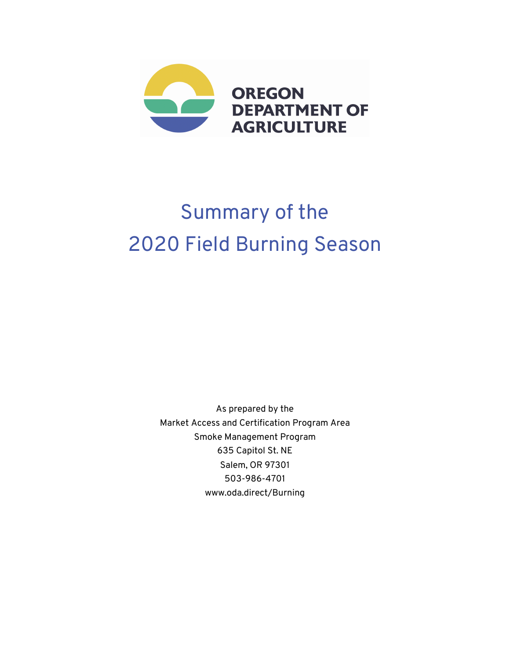

# Summary of the 2020 Field Burning Season

As prepared by the Market Access and Certification Program Area Smoke Management Program 635 Capitol St. NE Salem, OR 97301 503-986-4701 www.oda.direct/Burning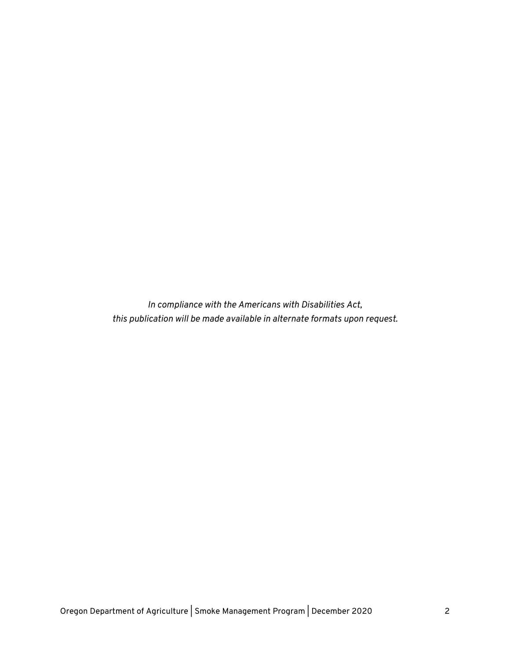*In compliance with the Americans with Disabilities Act, this publication will be made available in alternate formats upon request.*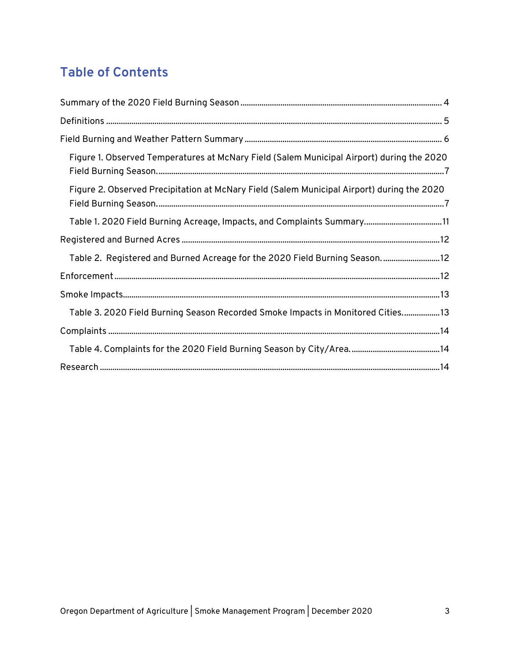# **Table of Contents**

| Figure 1. Observed Temperatures at McNary Field (Salem Municipal Airport) during the 2020  |
|--------------------------------------------------------------------------------------------|
| Figure 2. Observed Precipitation at McNary Field (Salem Municipal Airport) during the 2020 |
| Table 1. 2020 Field Burning Acreage, Impacts, and Complaints Summary11                     |
|                                                                                            |
| Table 2. Registered and Burned Acreage for the 2020 Field Burning Season12                 |
|                                                                                            |
|                                                                                            |
| Table 3. 2020 Field Burning Season Recorded Smoke Impacts in Monitored Cities 13           |
|                                                                                            |
|                                                                                            |
|                                                                                            |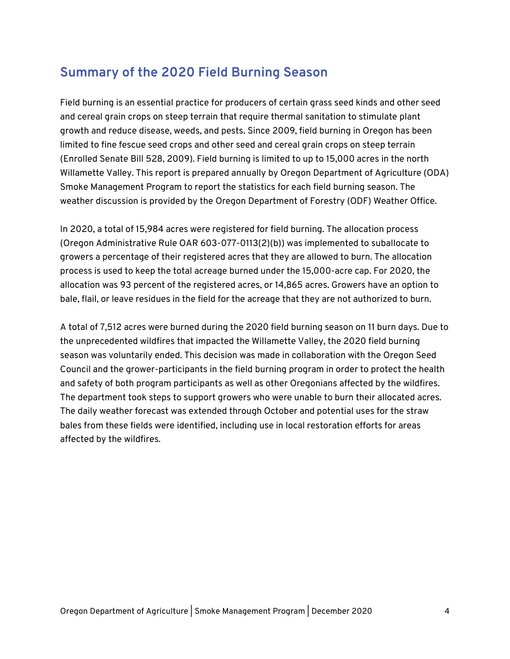### **Summary of the 2020 Field Burning Season**

Field burning is an essential practice for producers of certain grass seed kinds and other seed and cereal grain crops on steep terrain that require thermal sanitation to stimulate plant growth and reduce disease, weeds, and pests. Since 2009, field burning in Oregon has been limited to fine fescue seed crops and other seed and cereal grain crops on steep terrain (Enrolled Senate Bill 528, 2009). Field burning is limited to up to 15,000 acres in the north Willamette Valley. This report is prepared annually by Oregon Department of Agriculture (ODA) Smoke Management Program to report the statistics for each field burning season. The weather discussion is provided by the Oregon Department of Forestry (ODF) Weather Office.

In 2020, a total of 15,984 acres were registered for field burning. The allocation process (Oregon Administrative Rule OAR 603-077-0113(2)(b)) was implemented to suballocate to growers a percentage of their registered acres that they are allowed to burn. The allocation process is used to keep the total acreage burned under the 15,000-acre cap. For 2020, the allocation was 93 percent of the registered acres, or 14,865 acres. Growers have an option to bale, flail, or leave residues in the field for the acreage that they are not authorized to burn.

A total of 7,512 acres were burned during the 2020 field burning season on 11 burn days. Due to the unprecedented wildfires that impacted the Willamette Valley, the 2020 field burning season was voluntarily ended. This decision was made in collaboration with the Oregon Seed Council and the grower-participants in the field burning program in order to protect the health and safety of both program participants as well as other Oregonians affected by the wildfires. The department took steps to support growers who were unable to burn their allocated acres. The daily weather forecast was extended through October and potential uses for the straw bales from these fields were identified, including use in local restoration efforts for areas affected by the wildfires.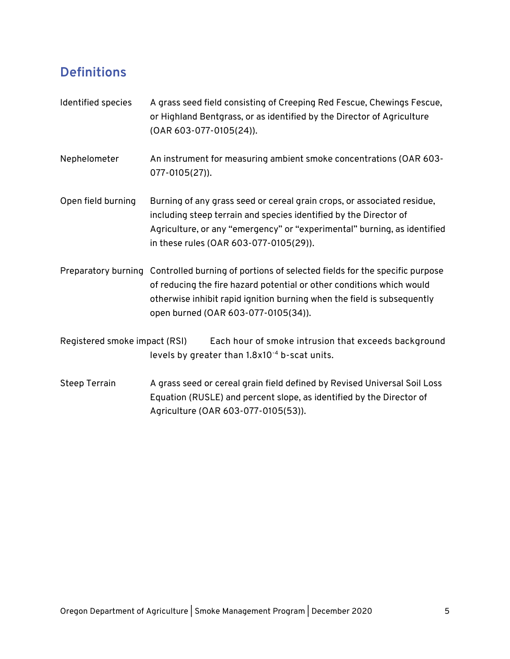# **Definitions**

| Identified species            | A grass seed field consisting of Creeping Red Fescue, Chewings Fescue,<br>or Highland Bentgrass, or as identified by the Director of Agriculture<br>(OAR 603-077-0105(24)).                                                                                                               |  |  |  |  |  |
|-------------------------------|-------------------------------------------------------------------------------------------------------------------------------------------------------------------------------------------------------------------------------------------------------------------------------------------|--|--|--|--|--|
| Nephelometer                  | An instrument for measuring ambient smoke concentrations (OAR 603-<br>077-0105(27)).                                                                                                                                                                                                      |  |  |  |  |  |
| Open field burning            | Burning of any grass seed or cereal grain crops, or associated residue,<br>including steep terrain and species identified by the Director of<br>Agriculture, or any "emergency" or "experimental" burning, as identified<br>in these rules (OAR 603-077-0105(29)).                        |  |  |  |  |  |
|                               | Preparatory burning Controlled burning of portions of selected fields for the specific purpose<br>of reducing the fire hazard potential or other conditions which would<br>otherwise inhibit rapid ignition burning when the field is subsequently<br>open burned (OAR 603-077-0105(34)). |  |  |  |  |  |
| Registered smoke impact (RSI) | Each hour of smoke intrusion that exceeds background<br>levels by greater than 1.8x10 <sup>-4</sup> b-scat units.                                                                                                                                                                         |  |  |  |  |  |
| <b>Steep Terrain</b>          | A grass seed or cereal grain field defined by Revised Universal Soil Loss<br>Equation (RUSLE) and percent slope, as identified by the Director of                                                                                                                                         |  |  |  |  |  |

Agriculture (OAR 603-077-0105(53)).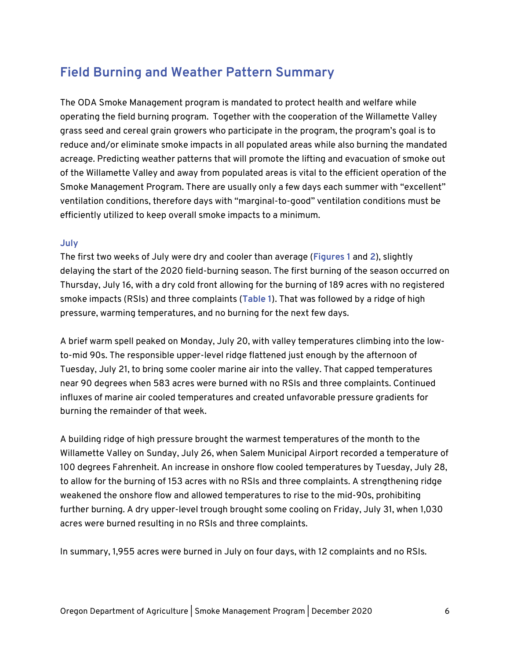# **Field Burning and Weather Pattern Summary**

The ODA Smoke Management program is mandated to protect health and welfare while operating the field burning program. Together with the cooperation of the Willamette Valley grass seed and cereal grain growers who participate in the program, the program's goal is to reduce and/or eliminate smoke impacts in all populated areas while also burning the mandated acreage. Predicting weather patterns that will promote the lifting and evacuation of smoke out of the Willamette Valley and away from populated areas is vital to the efficient operation of the Smoke Management Program. There are usually only a few days each summer with "excellent" ventilation conditions, therefore days with "marginal-to-good" ventilation conditions must be efficiently utilized to keep overall smoke impacts to a minimum.

#### **July**

The first two weeks of July were dry and cooler than average (**Figures 1** and **2**), slightly delaying the start of the 2020 field-burning season. The first burning of the season occurred on Thursday, July 16, with a dry cold front allowing for the burning of 189 acres with no registered smoke impacts (RSIs) and three complaints (**Table 1**). That was followed by a ridge of high pressure, warming temperatures, and no burning for the next few days.

A brief warm spell peaked on Monday, July 20, with valley temperatures climbing into the lowto-mid 90s. The responsible upper-level ridge flattened just enough by the afternoon of Tuesday, July 21, to bring some cooler marine air into the valley. That capped temperatures near 90 degrees when 583 acres were burned with no RSIs and three complaints. Continued influxes of marine air cooled temperatures and created unfavorable pressure gradients for burning the remainder of that week.

A building ridge of high pressure brought the warmest temperatures of the month to the Willamette Valley on Sunday, July 26, when Salem Municipal Airport recorded a temperature of 100 degrees Fahrenheit. An increase in onshore flow cooled temperatures by Tuesday, July 28, to allow for the burning of 153 acres with no RSIs and three complaints. A strengthening ridge weakened the onshore flow and allowed temperatures to rise to the mid-90s, prohibiting further burning. A dry upper-level trough brought some cooling on Friday, July 31, when 1,030 acres were burned resulting in no RSIs and three complaints.

In summary, 1,955 acres were burned in July on four days, with 12 complaints and no RSIs.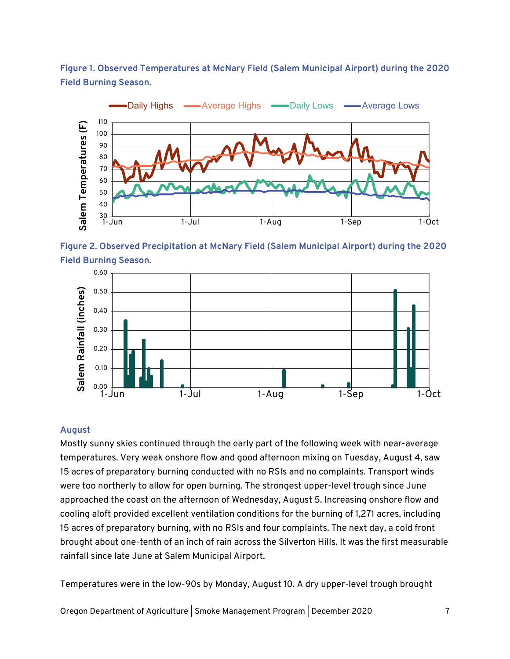**Figure 1. Observed Temperatures at McNary Field (Salem Municipal Airport) during the 2020 Field Burning Season.** 



**Figure 2. Observed Precipitation at McNary Field (Salem Municipal Airport) during the 2020 Field Burning Season.** 



#### **August**

Mostly sunny skies continued through the early part of the following week with near-average temperatures. Very weak onshore flow and good afternoon mixing on Tuesday, August 4, saw 15 acres of preparatory burning conducted with no RSIs and no complaints. Transport winds were too northerly to allow for open burning. The strongest upper-level trough since June approached the coast on the afternoon of Wednesday, August 5. Increasing onshore flow and cooling aloft provided excellent ventilation conditions for the burning of 1,271 acres, including 15 acres of preparatory burning, with no RSIs and four complaints. The next day, a cold front brought about one-tenth of an inch of rain across the Silverton Hills. It was the first measurable rainfall since late June at Salem Municipal Airport.

Temperatures were in the low-90s by Monday, August 10. A dry upper-level trough brought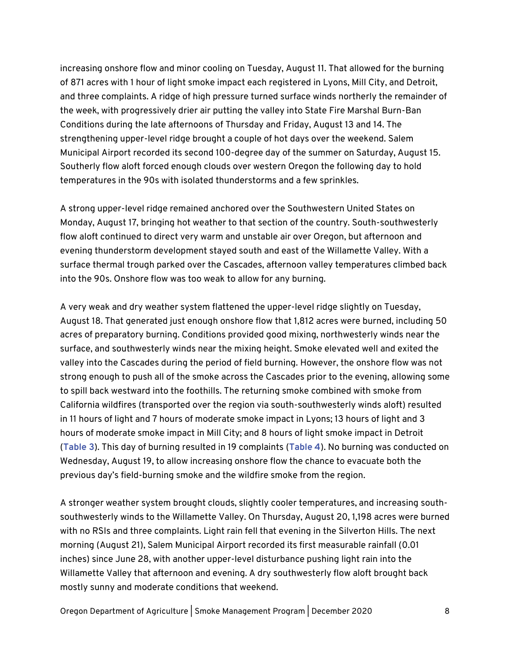increasing onshore flow and minor cooling on Tuesday, August 11. That allowed for the burning of 871 acres with 1 hour of light smoke impact each registered in Lyons, Mill City, and Detroit, and three complaints. A ridge of high pressure turned surface winds northerly the remainder of the week, with progressively drier air putting the valley into State Fire Marshal Burn-Ban Conditions during the late afternoons of Thursday and Friday, August 13 and 14. The strengthening upper-level ridge brought a couple of hot days over the weekend. Salem Municipal Airport recorded its second 100-degree day of the summer on Saturday, August 15. Southerly flow aloft forced enough clouds over western Oregon the following day to hold temperatures in the 90s with isolated thunderstorms and a few sprinkles.

A strong upper-level ridge remained anchored over the Southwestern United States on Monday, August 17, bringing hot weather to that section of the country. South-southwesterly flow aloft continued to direct very warm and unstable air over Oregon, but afternoon and evening thunderstorm development stayed south and east of the Willamette Valley. With a surface thermal trough parked over the Cascades, afternoon valley temperatures climbed back into the 90s. Onshore flow was too weak to allow for any burning.

A very weak and dry weather system flattened the upper-level ridge slightly on Tuesday, August 18. That generated just enough onshore flow that 1,812 acres were burned, including 50 acres of preparatory burning. Conditions provided good mixing, northwesterly winds near the surface, and southwesterly winds near the mixing height. Smoke elevated well and exited the valley into the Cascades during the period of field burning. However, the onshore flow was not strong enough to push all of the smoke across the Cascades prior to the evening, allowing some to spill back westward into the foothills. The returning smoke combined with smoke from California wildfires (transported over the region via south-southwesterly winds aloft) resulted in 11 hours of light and 7 hours of moderate smoke impact in Lyons; 13 hours of light and 3 hours of moderate smoke impact in Mill City; and 8 hours of light smoke impact in Detroit (**Table 3**). This day of burning resulted in 19 complaints (**Table 4**). No burning was conducted on Wednesday, August 19, to allow increasing onshore flow the chance to evacuate both the previous day's field-burning smoke and the wildfire smoke from the region.

A stronger weather system brought clouds, slightly cooler temperatures, and increasing southsouthwesterly winds to the Willamette Valley. On Thursday, August 20, 1,198 acres were burned with no RSIs and three complaints. Light rain fell that evening in the Silverton Hills. The next morning (August 21), Salem Municipal Airport recorded its first measurable rainfall (0.01 inches) since June 28, with another upper-level disturbance pushing light rain into the Willamette Valley that afternoon and evening. A dry southwesterly flow aloft brought back mostly sunny and moderate conditions that weekend.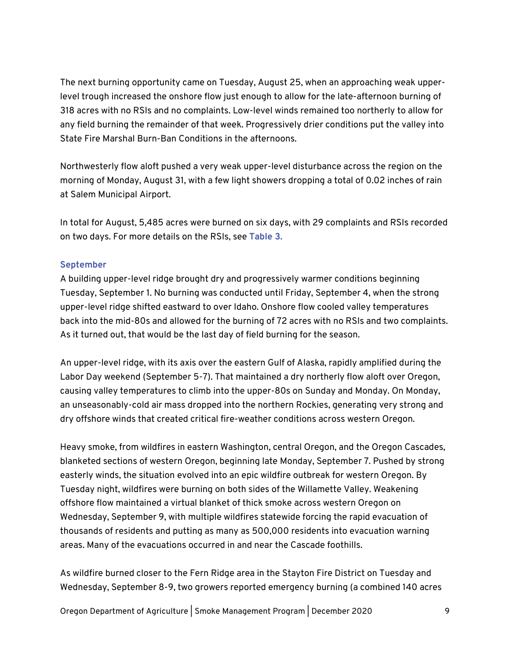The next burning opportunity came on Tuesday, August 25, when an approaching weak upperlevel trough increased the onshore flow just enough to allow for the late-afternoon burning of 318 acres with no RSIs and no complaints. Low-level winds remained too northerly to allow for any field burning the remainder of that week. Progressively drier conditions put the valley into State Fire Marshal Burn-Ban Conditions in the afternoons.

Northwesterly flow aloft pushed a very weak upper-level disturbance across the region on the morning of Monday, August 31, with a few light showers dropping a total of 0.02 inches of rain at Salem Municipal Airport.

In total for August, 5,485 acres were burned on six days, with 29 complaints and RSIs recorded on two days. For more details on the RSIs, see **Table 3.**

#### **September**

A building upper-level ridge brought dry and progressively warmer conditions beginning Tuesday, September 1. No burning was conducted until Friday, September 4, when the strong upper-level ridge shifted eastward to over Idaho. Onshore flow cooled valley temperatures back into the mid-80s and allowed for the burning of 72 acres with no RSIs and two complaints. As it turned out, that would be the last day of field burning for the season.

An upper-level ridge, with its axis over the eastern Gulf of Alaska, rapidly amplified during the Labor Day weekend (September 5-7). That maintained a dry northerly flow aloft over Oregon, causing valley temperatures to climb into the upper-80s on Sunday and Monday. On Monday, an unseasonably-cold air mass dropped into the northern Rockies, generating very strong and dry offshore winds that created critical fire-weather conditions across western Oregon.

Heavy smoke, from wildfires in eastern Washington, central Oregon, and the Oregon Cascades, blanketed sections of western Oregon, beginning late Monday, September 7. Pushed by strong easterly winds, the situation evolved into an epic wildfire outbreak for western Oregon. By Tuesday night, wildfires were burning on both sides of the Willamette Valley. Weakening offshore flow maintained a virtual blanket of thick smoke across western Oregon on Wednesday, September 9, with multiple wildfires statewide forcing the rapid evacuation of thousands of residents and putting as many as 500,000 residents into evacuation warning areas. Many of the evacuations occurred in and near the Cascade foothills.

As wildfire burned closer to the Fern Ridge area in the Stayton Fire District on Tuesday and Wednesday, September 8-9, two growers reported emergency burning (a combined 140 acres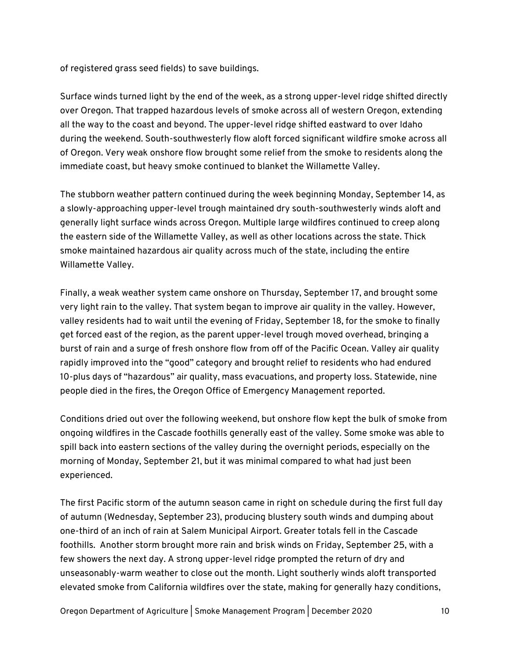of registered grass seed fields) to save buildings.

Surface winds turned light by the end of the week, as a strong upper-level ridge shifted directly over Oregon. That trapped hazardous levels of smoke across all of western Oregon, extending all the way to the coast and beyond. The upper-level ridge shifted eastward to over Idaho during the weekend. South-southwesterly flow aloft forced significant wildfire smoke across all of Oregon. Very weak onshore flow brought some relief from the smoke to residents along the immediate coast, but heavy smoke continued to blanket the Willamette Valley.

The stubborn weather pattern continued during the week beginning Monday, September 14, as a slowly-approaching upper-level trough maintained dry south-southwesterly winds aloft and generally light surface winds across Oregon. Multiple large wildfires continued to creep along the eastern side of the Willamette Valley, as well as other locations across the state. Thick smoke maintained hazardous air quality across much of the state, including the entire Willamette Valley.

Finally, a weak weather system came onshore on Thursday, September 17, and brought some very light rain to the valley. That system began to improve air quality in the valley. However, valley residents had to wait until the evening of Friday, September 18, for the smoke to finally get forced east of the region, as the parent upper-level trough moved overhead, bringing a burst of rain and a surge of fresh onshore flow from off of the Pacific Ocean. Valley air quality rapidly improved into the "good" category and brought relief to residents who had endured 10-plus days of "hazardous" air quality, mass evacuations, and property loss. Statewide, nine people died in the fires, the Oregon Office of Emergency Management reported.

Conditions dried out over the following weekend, but onshore flow kept the bulk of smoke from ongoing wildfires in the Cascade foothills generally east of the valley. Some smoke was able to spill back into eastern sections of the valley during the overnight periods, especially on the morning of Monday, September 21, but it was minimal compared to what had just been experienced.

The first Pacific storm of the autumn season came in right on schedule during the first full day of autumn (Wednesday, September 23), producing blustery south winds and dumping about one-third of an inch of rain at Salem Municipal Airport. Greater totals fell in the Cascade foothills. Another storm brought more rain and brisk winds on Friday, September 25, with a few showers the next day. A strong upper-level ridge prompted the return of dry and unseasonably-warm weather to close out the month. Light southerly winds aloft transported elevated smoke from California wildfires over the state, making for generally hazy conditions,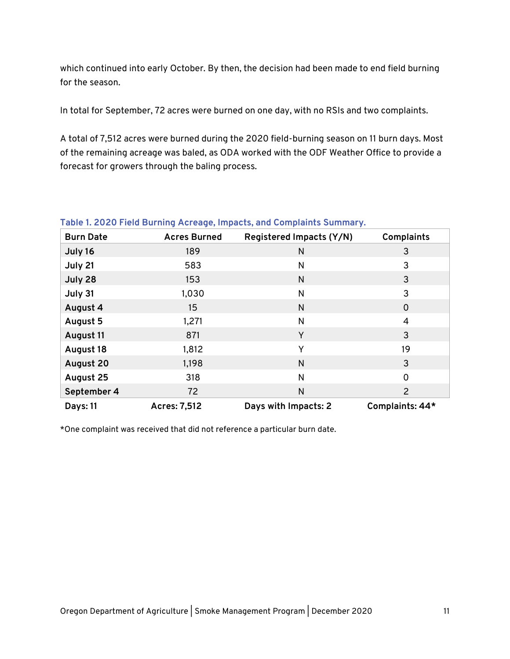which continued into early October. By then, the decision had been made to end field burning for the season.

In total for September, 72 acres were burned on one day, with no RSIs and two complaints.

A total of 7,512 acres were burned during the 2020 field-burning season on 11 burn days. Most of the remaining acreage was baled, as ODA worked with the ODF Weather Office to provide a forecast for growers through the baling process.

| <b>Burn Date</b> | <b>Acres Burned</b> | Registered Impacts (Y/N) | <b>Complaints</b> |
|------------------|---------------------|--------------------------|-------------------|
| July 16          | 189                 | N                        | 3                 |
| July 21          | 583                 | N                        | 3                 |
| July 28          | 153                 | N                        | 3                 |
| July 31          | 1,030               | N                        | 3                 |
| August 4         | 15                  | N                        | $\mathbf 0$       |
| August 5         | 1,271               | N                        | 4                 |
| August 11        | 871                 | Y                        | 3                 |
| August 18        | 1,812               | Υ                        | 19                |
| <b>August 20</b> | 1,198               | N                        | 3                 |
| August 25        | 318                 | N                        | $\overline{0}$    |
| September 4      | 72                  | N                        | $\overline{2}$    |
| <b>Days: 11</b>  | Acres: 7,512        | Days with Impacts: 2     | Complaints: 44*   |

**Table 1. 2020 Field Burning Acreage, Impacts, and Complaints Summary.**

\*One complaint was received that did not reference a particular burn date.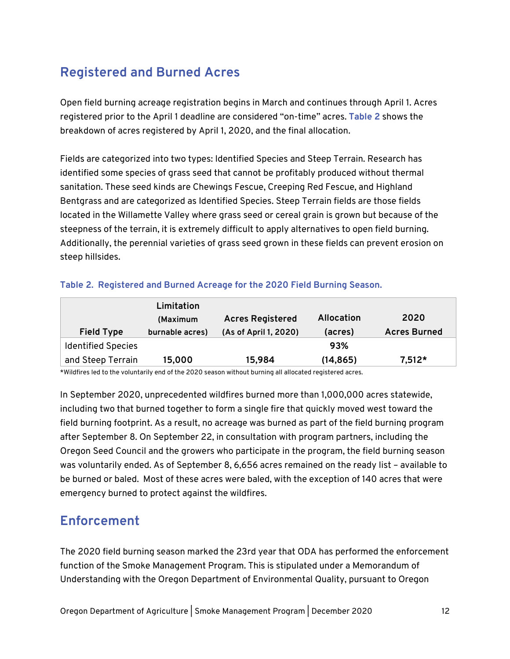# **Registered and Burned Acres**

Open field burning acreage registration begins in March and continues through April 1. Acres registered prior to the April 1 deadline are considered "on-time" acres. **Table 2** shows the breakdown of acres registered by April 1, 2020, and the final allocation.

Fields are categorized into two types: Identified Species and Steep Terrain. Research has identified some species of grass seed that cannot be profitably produced without thermal sanitation. These seed kinds are Chewings Fescue, Creeping Red Fescue, and Highland Bentgrass and are categorized as Identified Species. Steep Terrain fields are those fields located in the Willamette Valley where grass seed or cereal grain is grown but because of the steepness of the terrain, it is extremely difficult to apply alternatives to open field burning. Additionally, the perennial varieties of grass seed grown in these fields can prevent erosion on steep hillsides.

| Table 2. Registered and Burned Acreage for the 2020 Field Burning Season. |  |  |  |  |  |  |  |
|---------------------------------------------------------------------------|--|--|--|--|--|--|--|
|---------------------------------------------------------------------------|--|--|--|--|--|--|--|

| <b>Field Type</b>         | Limitation<br>(Maximum<br>burnable acres) | <b>Acres Registered</b><br>(As of April 1, 2020) | Allocation<br>(acres) | 2020<br><b>Acres Burned</b> |
|---------------------------|-------------------------------------------|--------------------------------------------------|-----------------------|-----------------------------|
| <b>Identified Species</b> |                                           |                                                  | 93%                   |                             |
| and Steep Terrain         | 15,000                                    | 15,984                                           | (14, 865)             | $7,512*$                    |

\*Wildfires led to the voluntarily end of the 2020 season without burning all allocated registered acres.

In September 2020, unprecedented wildfires burned more than 1,000,000 acres statewide, including two that burned together to form a single fire that quickly moved west toward the field burning footprint. As a result, no acreage was burned as part of the field burning program after September 8. On September 22, in consultation with program partners, including the Oregon Seed Council and the growers who participate in the program, the field burning season was voluntarily ended. As of September 8, 6,656 acres remained on the ready list – available to be burned or baled. Most of these acres were baled, with the exception of 140 acres that were emergency burned to protect against the wildfires.

### **Enforcement**

The 2020 field burning season marked the 23rd year that ODA has performed the enforcement function of the Smoke Management Program. This is stipulated under a Memorandum of Understanding with the Oregon Department of Environmental Quality, pursuant to Oregon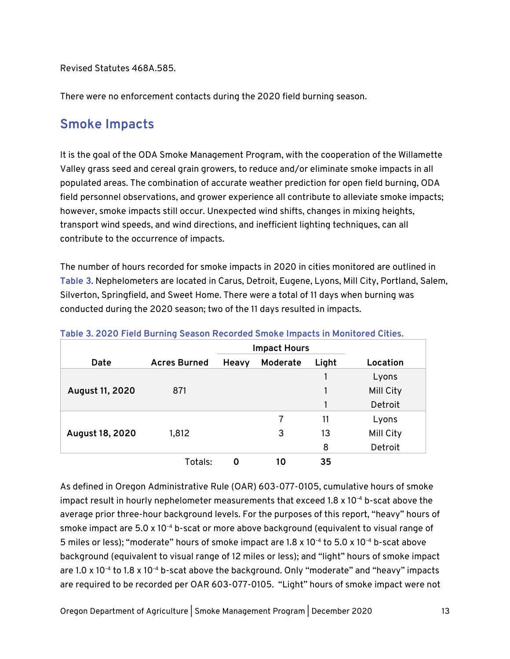Revised Statutes 468A.585.

There were no enforcement contacts during the 2020 field burning season.

#### **Smoke Impacts**

It is the goal of the ODA Smoke Management Program, with the cooperation of the Willamette Valley grass seed and cereal grain growers, to reduce and/or eliminate smoke impacts in all populated areas. The combination of accurate weather prediction for open field burning, ODA field personnel observations, and grower experience all contribute to alleviate smoke impacts; however, smoke impacts still occur. Unexpected wind shifts, changes in mixing heights, transport wind speeds, and wind directions, and inefficient lighting techniques, can all contribute to the occurrence of impacts.

The number of hours recorded for smoke impacts in 2020 in cities monitored are outlined in **Table 3**. Nephelometers are located in Carus, Detroit, Eugene, Lyons, Mill City, Portland, Salem, Silverton, Springfield, and Sweet Home. There were a total of 11 days when burning was conducted during the 2020 season; two of the 11 days resulted in impacts.

|                 |                     |       | <b>Impact Hours</b> |       |           |
|-----------------|---------------------|-------|---------------------|-------|-----------|
| Date            | <b>Acres Burned</b> | Heavy | Moderate            | Light | Location  |
|                 |                     |       |                     |       | Lyons     |
| August 11, 2020 | 871                 |       |                     |       | Mill City |
|                 |                     |       |                     |       | Detroit   |
|                 |                     |       |                     | 11    | Lyons     |
| August 18, 2020 | 1,812               |       | 3                   | 13    | Mill City |
|                 |                     |       |                     | 8     | Detroit   |
|                 | Totals:             | 0     | 10                  | 35    |           |

As defined in Oregon Administrative Rule (OAR) 603-077-0105, cumulative hours of smoke impact result in hourly nephelometer measurements that exceed  $1.8 \times 10^{-4}$  b-scat above the average prior three-hour background levels. For the purposes of this report, "heavy" hours of smoke impact are 5.0 x 10<sup>-4</sup> b-scat or more above background (equivalent to visual range of 5 miles or less); "moderate" hours of smoke impact are 1.8 x 10<sup>-4</sup> to 5.0 x 10<sup>-4</sup> b-scat above background (equivalent to visual range of 12 miles or less); and "light" hours of smoke impact are 1.0 x 10<sup>-4</sup> to 1.8 x 10<sup>-4</sup> b-scat above the background. Only "moderate" and "heavy" impacts are required to be recorded per OAR 603-077-0105. "Light" hours of smoke impact were not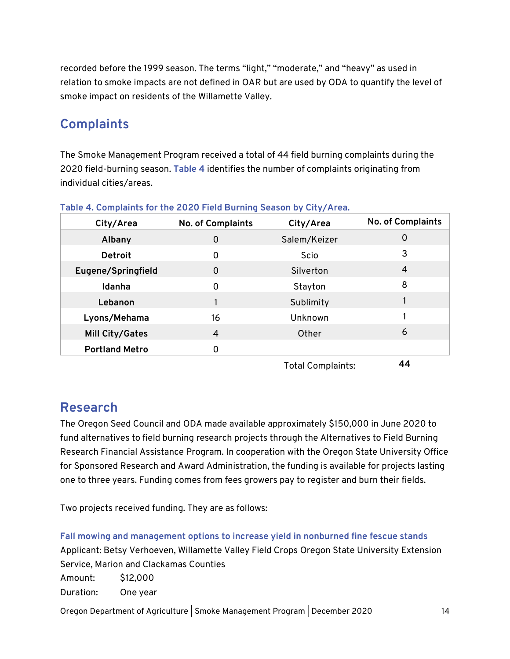recorded before the 1999 season. The terms "light," "moderate," and "heavy" as used in relation to smoke impacts are not defined in OAR but are used by ODA to quantify the level of smoke impact on residents of the Willamette Valley.

#### **Complaints**

The Smoke Management Program received a total of 44 field burning complaints during the 2020 field-burning season. **Table 4** identifies the number of complaints originating from individual cities/areas.

| City/Area             | No. of Complaints | City/Area                         | No. of Complaints |
|-----------------------|-------------------|-----------------------------------|-------------------|
| Albany                | 0                 | Salem/Keizer                      | 0                 |
| Detroit               | 0                 | Scio                              | 3                 |
| Eugene/Springfield    | 0                 | Silverton                         | 4                 |
| Idanha                | 0                 | Stayton                           | 8                 |
| Lebanon               |                   | Sublimity                         |                   |
| Lyons/Mehama          | 16                | Unknown                           |                   |
| Mill City/Gates       | 4                 | Other                             | 6                 |
| <b>Portland Metro</b> | 0                 |                                   |                   |
|                       |                   | $T = 1 - 1$ . $C = 1 - 1 - 1 - 1$ | ΛΛ                |

|  |  |  | Table 4. Complaints for the 2020 Field Burning Season by City/Area. |
|--|--|--|---------------------------------------------------------------------|
|  |  |  |                                                                     |

Total Complaints: **44**

#### **Research**

The Oregon Seed Council and ODA made available approximately \$150,000 in June 2020 to fund alternatives to field burning research projects through the Alternatives to Field Burning Research Financial Assistance Program. In cooperation with the Oregon State University Office for Sponsored Research and Award Administration, the funding is available for projects lasting one to three years. Funding comes from fees growers pay to register and burn their fields.

Two projects received funding. They are as follows:

**Fall mowing and management options to increase yield in nonburned fine fescue stands** Applicant: Betsy Verhoeven, Willamette Valley Field Crops Oregon State University Extension Service, Marion and Clackamas Counties Amount: \$12,000 Duration: One year